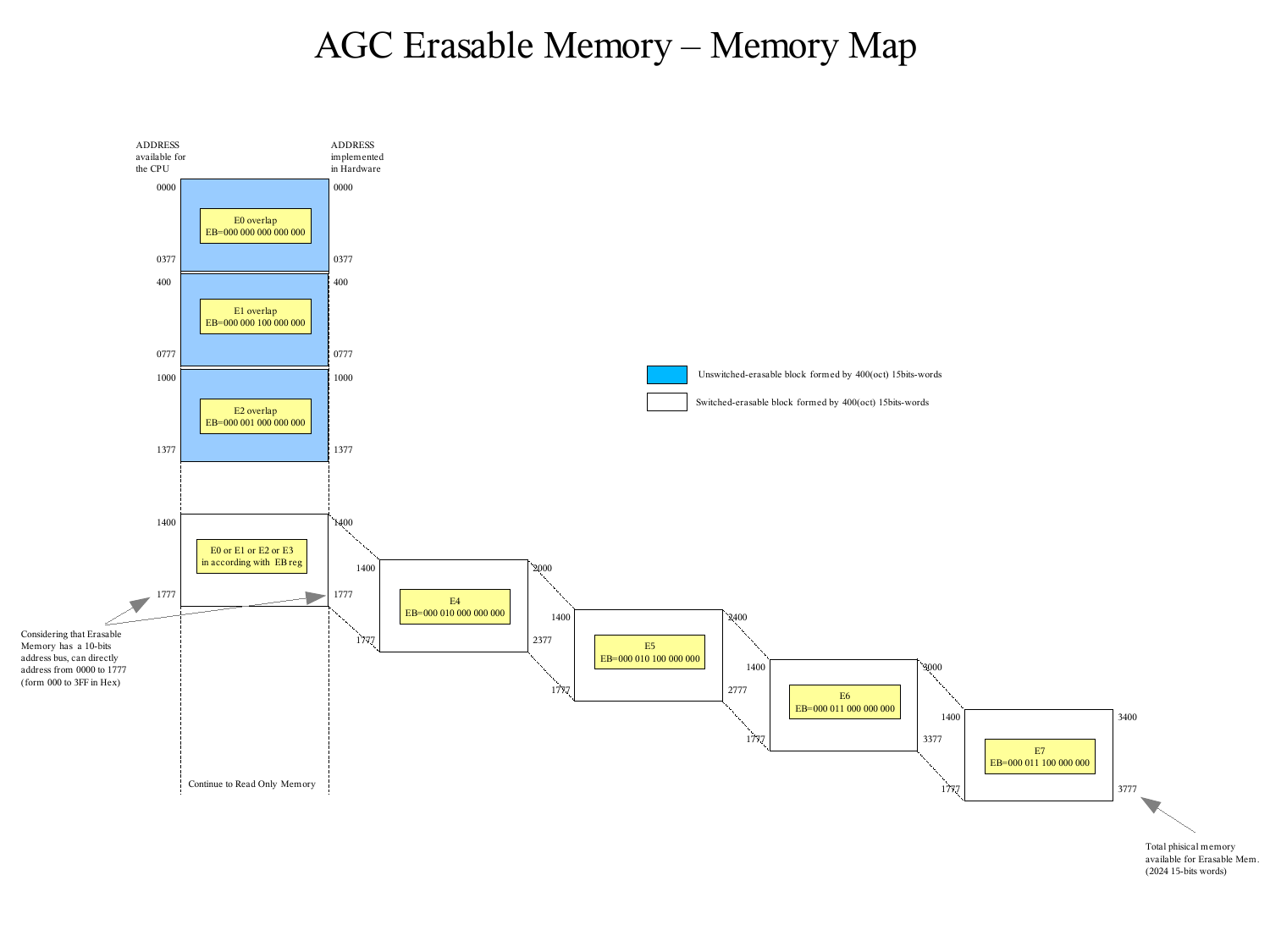## AGC Erasable Memory – Memory Map